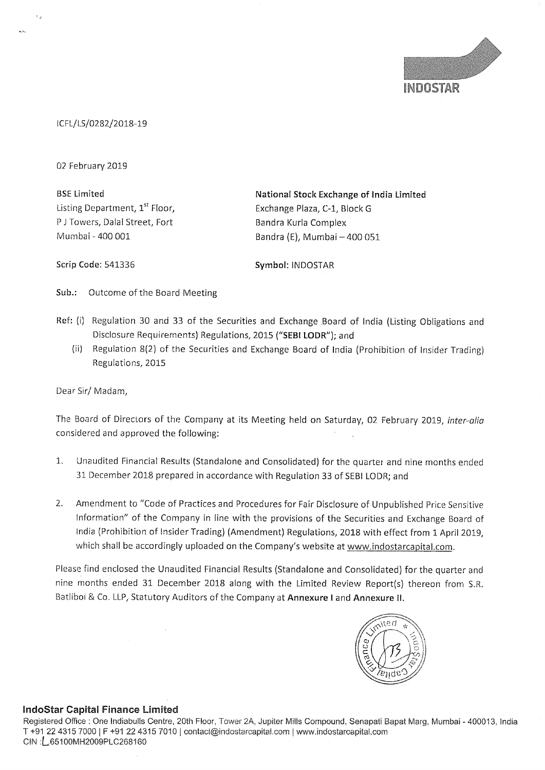

lCFL/LS/0282/20187-19

02 February 2019

BSE Limited Listing Department, 1<sup>st</sup> Floor, <sup>P</sup> <sup>J</sup> Towers, Dalal Street, Fort Mumbai — 400 001

National Stock Exchange of India Limited Exchange Plaza, C-1, Block <sup>G</sup> Bandra Kurla Complex Bandra (E), Mumbai - 400 051

Scrip Code: 541336

Symbol: INDOSTAR

Sub.: Outcome of the Board Meeting

- Ref: (i) Regulation <sup>30</sup> and <sup>33</sup> of the Securities and Exchange Board of India (Listing Obligations and Disclosure Requirements) Regulations, 2015 ("SEBI LODR"); and
	- (ii) Regulation 8(2) of the Securities and Exchange Board of lndia (Prohibition of Insider Trading) Regulations, 2015

Dear Sir/ Madam,

The Board of Directors of the Company at its Meeting held on Saturday, 02 February 2019, inter-alia considered and approved the following:

- 1. Unaudited Financial Results (Standalone and Consolidated) for the quarter and nine months ended <sup>31</sup> December 2018 prepared in accordance with Regulation 33 of SEBI LODR; and
- 2. Amendment to "Code of Practices and Procedures for Fair Disclosure of Unpublished Price Sensitive information" of the Company in line with the provisions of the Securities and Exchange Board of India (Prohibition of insider Trading) (Amendment) Regulations, 2018 with effect from <sup>1</sup> April 2019, which shall be accordingly uploaded on the Company's website at www.indostarcapital.com.

Please find enclosed the Unaudited Financial Results (Standalone and Consolidated) for the quarter and nine months ended 31 December 2018 along with the Limited Review Report(s) thereon from SR. Batliboi & Co. LLP, Statutory Auditors of the Company at Annexure I and Annexure II.



## lndoStar Capital Finance Limited

Registered Office : One Indiabulls Centre, 20th Floor, Tower 2A, Jupiter Mills Compound, Senapati Bapat Marg, Mumbai - 400013, India T +91 22 4315 7000 <sup>i</sup> <sup>F</sup> +91 22 4315 7010 ) contaoi@indostarcapital com <sup>1</sup> wwwindostarcapital. com ClN :L65100MH2009PLC268160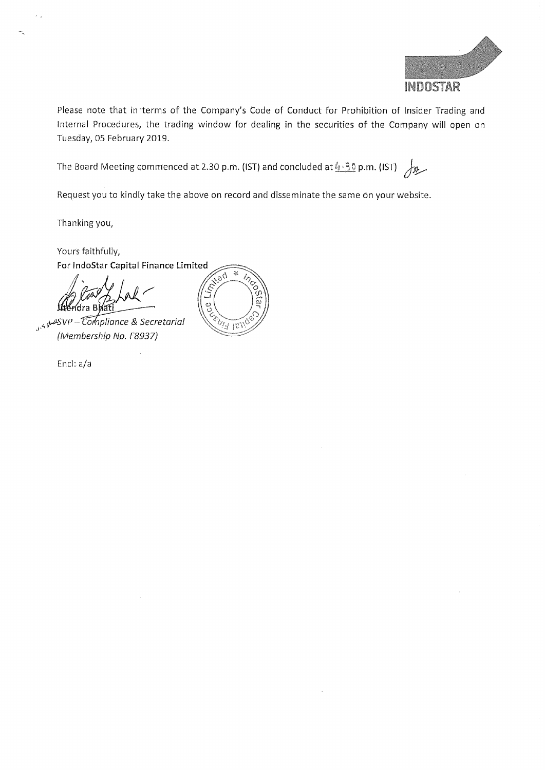

Please note that in'terms of the Company's Code of Conduct for Prohibition of Insider Trading and internal Procedures, the trading window for dealing in the securities of the Company will open on Tuesday, 05 February 2019.

The Board Meeting commenced at 2.30 p.m. (IST) and concluded at  $\frac{\ell_1 \cdot \frac{3}{2} 0}{2}$  p.m. (IST)

Request you to kindly take the above on record and disseminate the same on your website.

Thanking you,

Yours faithfully,

For IndoStar Capital Finance Limited<br>  $\int_{\Omega}$ ídra B

substitution of Secretarial (Membership No. F8937)

Encl: a/a

 $\frac{1}{2}$ J COLLEGAT LEVI ά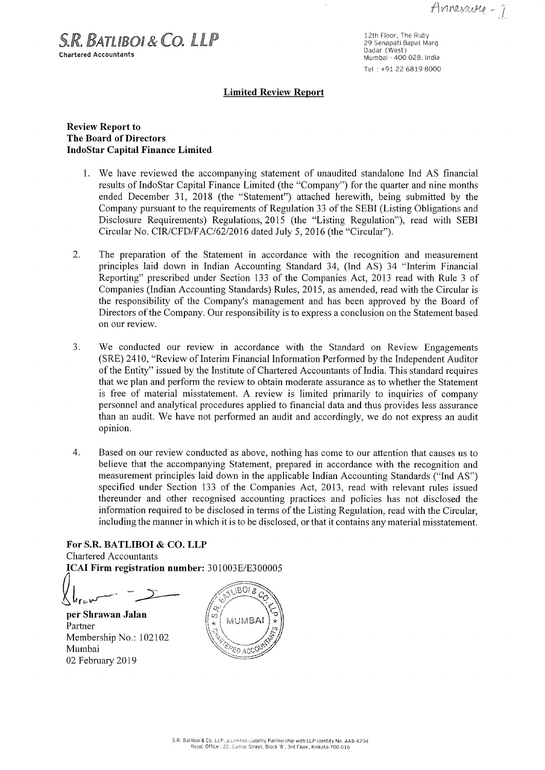S.R. BATUBOL& CO. LLP Chartered Accountants

12th Floor, The Ruby<br>29 Senapati Bapat Marg Dadar (West) Mumbai - 400 028, India Tel :+91 22 6819 8000

#### Limited Review Report

## Review Report to The Board of Directors IndoStar Capital Finance Limited

- 1. We have reviewed the accompanying statement of unaudited standalone Ind AS financial results of IndoStar Capital Finance Limited (the "Company") for the quarter and nine months ended December 31, 2018 (the "Statement") attached herewith, being submitted by the Company pursuant to the requirements of Regulation <sup>33</sup> of the SEBI (Listing Obligations and Disclosure Requirements) Regulations, 2015 (the "Listing Regulation"), read with SEBI Circular No. CIR/CFD/FAC/62/2016 dated July 5, 2016 (the "'Circular").
- 2. The preparation of the Statement in accordance with the recognition and measurement principles laid down in Indian Accounting Standard 34, (Ind AS) 34 "Interim Financial Reporting" prescribed under Section <sup>133</sup> of the Companies Act, <sup>2013</sup> read with Rule <sup>3</sup> of Companies (Indian Accounting Standards) Rules, 2015, as amended, read with the Circular is the responsibility of the Company's management and has been approved by the Board of Directors of the Company. Our responsibility is to express a conclusion on the Statement based on our review.
- 3. We conducted our review in accordance with the Standard on Review Engagements (SRE) 2410, "Review of Interim Financial Information Performed by the Independent Auditor of the Entity" issued by the Institute of Chartered Accountants of India. This standard requires that we plan and perform the review to obtain moderate assurance as to whether the Statement is free of material misstatement. A review is limited primarily to inquiries of company personnel and analytical procedures applied to financial data and thus provides less assurance than an audit. We have not performed an audit and accordingly, we do not express an audit opinion.
- 4. Based on our review conducted as above, nothing has come to our attention that causes us to believe that the accompanying Statement, prepared in accordance with the recognition and measurement principles laid down in the applicable Indian Accounting Standards ("Ind AS") specified under Section <sup>133</sup> of the Companies Act, 2013, read with relevant rules issued thereunder and other recognised accounting practices and policies has not disclosed the information required to be disclosed in terms of the Listing Regulation, read with the Circular, including the manner in which it is to be disclosed, or that it contains any material misstatement.

For S.R. BATLIBOI & CO. LLP Chartered Accountants ICAI Firm registration number: 301003E/E300005

 $L_{\text{new}}$  -  $\frac{1}{2}$ 

per Shrawan Jalan Partner Membership No.: 102102 Mumbai 02 February 2019

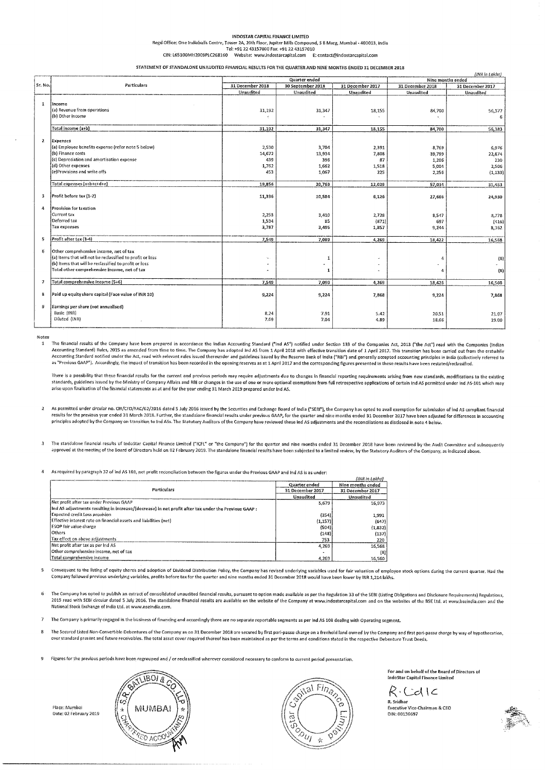| INDOSTAR CAPITAL FINANCE LIMITED                                                                                   |                                  |                                |  |  |
|--------------------------------------------------------------------------------------------------------------------|----------------------------------|--------------------------------|--|--|
| Regd Office: One Indiabulls Centre, Tower 2A, 20th Floor, Jupiter Mills Compound, S B Marg, Mumbai - 400013, India |                                  |                                |  |  |
| Tel: +91 22 43157000 Fax: +91 22 43157010                                                                          |                                  |                                |  |  |
| CIN: L65100MH2009PLC268160                                                                                         | Website: www.indostarcapital.com | E: contact@indostarcapital.com |  |  |

STATEMENT OF STANDALONE UNAUDITEI) FINANCIAL RESULTS FOR THE QUARTER AND NINE MONTHS ENDED 31 DECEMBER 2018

|                          | (INR in Lakhs)                                            |                  |                   |                  |                   |                  |  |
|--------------------------|-----------------------------------------------------------|------------------|-------------------|------------------|-------------------|------------------|--|
|                          |                                                           | Quarter ended    |                   |                  | Nine months ended |                  |  |
| Sr. No.                  | Particulars                                               | 31 December 2018 | 30 September 2018 | 31 December 2017 | 31 December 2018  | 31 December 2017 |  |
|                          |                                                           | Unaudited        | Unaudited         | Unaudited        | Unaudited         | <b>Unaudited</b> |  |
|                          |                                                           |                  |                   |                  |                   |                  |  |
| 1                        | lincome                                                   |                  |                   |                  |                   |                  |  |
|                          | (a) Revenue from operations                               | 31,192           | 31,347            | 18,155           | 84,700            | 56,377           |  |
|                          | (b) Other income                                          |                  |                   |                  |                   | 6                |  |
|                          | Total Income (a+b)                                        |                  |                   |                  |                   |                  |  |
|                          |                                                           | 31,192           | 31,347            | 18.155           | 84,700            | 56,383           |  |
| 2 <sub>1</sub>           | Expenses                                                  |                  |                   |                  |                   |                  |  |
|                          | (a) Employee benefits expense (refer note 5 below)        | 2,530            | 3,704             | 2,391            | $-8,769$          | 6,976            |  |
|                          | (b) Finance costs                                         | 14,672           | 13,934            | 7,808            | 39,799            | 22,874           |  |
|                          | (c) Depreciation and amortisation expense                 | 439              | 396               | 87               | 1,206             | 230              |  |
|                          | (d) Other expenses                                        | 1,762            | 1,662             | 1,518            | 5,004             | 2,506            |  |
|                          | (e)Provisions and write offs                              | 453              | 1.067             | 225              | 2,256             | (1, 133)         |  |
|                          |                                                           |                  |                   |                  |                   |                  |  |
|                          | Total expenses (a+b+c+d+e)                                | 19,856           | 20,763            | 12,029           | 57,034            | 31,453           |  |
|                          |                                                           |                  |                   |                  |                   |                  |  |
| з                        | Profit before tax (1-2)                                   | 11,336           | 10,584            | 6,126            | 27,666            | 24,930           |  |
|                          |                                                           |                  |                   |                  |                   |                  |  |
| 4                        | Provision for taxation.                                   |                  |                   |                  |                   |                  |  |
|                          | Current tax                                               | 2,253            | 3,410             | 2,728            | 8,547             | 3,778            |  |
|                          | Deferred tax                                              | 1,534            | -85               | (871)            | 697               | (416)            |  |
|                          | <b>Tax expenses</b>                                       | 3,787            | 3,495             | 1,857            | 9,244             | 8,362            |  |
| s.                       | Profit after tax (3-4)                                    | 7,549            | 7,089             | 4,269            | 18,422            | 16,568           |  |
|                          |                                                           |                  |                   |                  |                   |                  |  |
| Ğ.                       | Other comprehensive income, net of tax                    |                  |                   |                  |                   |                  |  |
|                          | (a) Items that will not be reclassified to profit or loss | ä.               | 1                 | ×.               | л                 | (8)              |  |
|                          | (b) Items that will be reclassified to profit or loss     |                  | ۰                 |                  | $\sim$            | ÷.               |  |
|                          | Total other comprehensive income, net of tax              | ×.               | 1                 | $\overline{a}$   |                   | (8)              |  |
| $\overline{\phantom{a}}$ | Total comprehensive Income (5+6)                          | 7.549            | 7.090             |                  |                   |                  |  |
|                          |                                                           |                  |                   | 4,269            | 18,426            | 16,560           |  |
| 8                        | Paid up equity share capital (Face value of INR 10)       | 9,224            | 9,224             | 7,868            | 9,224             | 7,868            |  |
|                          |                                                           |                  |                   |                  |                   |                  |  |
| 9                        | Earnings per share (not annualised)                       |                  |                   |                  |                   |                  |  |
|                          | Basic (INR)                                               | 8.24             | 7.91              | 5.42             | 20.51             | 21.07            |  |
|                          | Diluted (INR)                                             | 7.69             | 7.04              | 4.89             | 18.66             | 19.00            |  |
|                          |                                                           |                  |                   |                  |                   |                  |  |

Notes

The financial results of the Company have been prepared in accordance the Indian Accounting Standard ("Ind AS") notified under Section 133 of the Companies Act, 2013 ("the Act") read with the Companies (Indian Accounting Standard) Rules, 2015 as amended from time to time. The Company has adopted ind AS from 1 April 2018 with effective transition date of 1 April 2017. This transition has been carried out from the erstwhile<br>Accoun as "Previous GAAP"). Accordingly, the impact of transition has been recorded in the opening reserves as at 1 April 2017 and the corresponding figures presented in these results have been restated/reclassified.

There is a possibility that these financial results for the current and previous periods may require adjustments due to changes in financial reporting requirements arising from new standards, modifications to the existing<br> arise upon finalisation of the financial statements as at and for the year ending 31 March 2019 prepared under Ind AS.

- 2 As permitted under circular no. CIR/CFD/FAC/62/2016 dated 5 July 2016 issued by the Securities and Exchange Board of India ("SEBI"), the Company has opted to avail exemption for submission of lnd AS compliant financial results for the previous year ended <sup>31</sup> March 2018. Further, the standalone financial results under previous GAAP, for the quarter and nine months ended <sup>31</sup> December <sup>2017</sup> have been adjusted for differences in accounting principles adopted by the Company on transition to Ind A55. The Statutory Auditors ofthe Company have reviewed these Ind A5 adjustments and the reconciliations as disclosed in note <sup>4</sup> below.
- <sup>3</sup> The standalone financial results of indoStar Capital Finance Limited ("iCFl" or "the Company") for the quarter and nine months ended <sup>31</sup> December <sup>2018</sup> have been reviewed by the Audit Committee and subsequently approved at the meeting of the Board of Directors held on 02 February 2019. The standalone financial results have been subjected to a limited review, by the Statutory Auditors of the Company, as indicated above.

#### <sup>4</sup> As required by paragraph 32 of ind A5101, net profit reconciliation between the figures under the Previous GAAP and Ind AS is as under:

|                                                                                                       |                  | (INR in Lakhs)    |  |
|-------------------------------------------------------------------------------------------------------|------------------|-------------------|--|
|                                                                                                       | Quarter ended    | Nine months ended |  |
| Particulars                                                                                           | 31 December 2017 | 31 December 2017  |  |
|                                                                                                       | Unaudited        | <b>Unaudited</b>  |  |
| Net profit after tax under Previous GAAP                                                              | 5,679            | 16,973            |  |
| Ind AS adjustments resulting in increase/(decrease) in net profit after tax under the Previous GAAP : |                  |                   |  |
| Expected credit Loss provision                                                                        | (354)            | 1,991             |  |
| Effective interest rate on financial assets and liabilities (net)                                     | (1, 157)         | (647)             |  |
| <b>ESOP</b> fair value charge                                                                         | (504)            | (1,832)           |  |
| Others                                                                                                | (1.48)           | (137)             |  |
| Tax effect on above adjustments                                                                       | 753              | 220               |  |
| Net profit after tax as per Ind AS.                                                                   | 4,269            | 16,568            |  |
| Other comprehensive income, net of tax                                                                |                  | (8)               |  |
| Total comprehensive income.                                                                           | 4,269            | 16,560            |  |

Consequent to the listing of equity shares and adoption of Dividend Distribution Policy, the Company has revised underlying variables used for fair valuation of employee stock options during the current quarter. Had the Companyfollewed previous underlying variables, profits before tax forthe quarter and nine months ended <sup>31</sup> December <sup>2018</sup> would have been lower by lNR 1,214 lakhs,

- <sup>6</sup> The Company has opted to publish an extract of consolidated unaudited financial results, pursuant to option made available as per the Regulation <sup>33</sup> of the SEBI (Listing Obligations and Disclosure Requirements) Regulations, <sup>2015</sup> read with SEN circular dated <sup>5</sup> July 2016.1'he standalone financial results are available on the website of the Company at www.indostarcapital.com and on the websites of the BSE Ltd. at www.bseindia.com and the National Stock Exchange of India Ltd, at www.nseindia.corn.
- <sup>7</sup> The Company is primarily engaged in the business of financing and accordingly there are no separate reportable segments as per Ind A5 <sup>108</sup> dealing with Operating segment.
- 8 The Secured Listed Non-Convertible Debentures of the Company as on 31 December 2018 are secured by first pari-passu charge on a freehold land owned by the Company and first pari-passu charge by way of hypothecation, over standard present and future receivables. The total asset cover required thereof has been maintained as per the terms and conditions stated in the respective Debenture Trust Deeds.
- $\ddot{q}$ Figures for the previous periods have been regrouped and /or reclassified wherever considered necessary to conform to current period presentation.







For and on behalfof the Board of Directors of Indofitar Capital Finance Limited

 $R$  Cd  $\subset$ Executive Vice-Chairman & CEO DIN: 00136697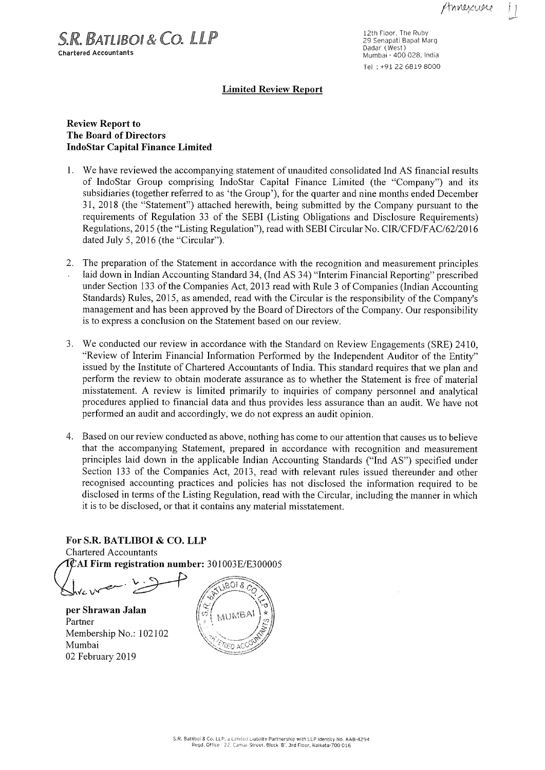g s M,

 $S.R.$  BATLIBOI &  $CO.$  LLP Chartered Accountants

12th Floor, The Ruby<br>29 Senapati Bapat Marg Dadar (West) Mumbai - 400 028, India Tel :+91 22 6819 8000

## Limited Review Report

## Review Report to The Board of Directors IndoStar Capital Finance Limited

- 1. We have reviewed the accompanying statement of unaudited consolidated Ind AS financial results of IndoStar Group comprising IndoStar Capital Finance Limited (the "'Company") and its subsidiaries (together referred to as 'the Group'), for the quarter and nine months ended December 31, 2018 (the "'Statement") attached herewith, being submitted by the Company pursuant to the requirements of Regulation <sup>33</sup> of the SEBI (Listing Obligations and Disclosure Requirements) Regulations, 2015 (the "Listing Regulation"), read with SEBI Circular No. CIR/CFD/FAC/62/2016 dated July 5, 2016 (the "Circular").
- 2. The preparation of the Statement in accordance with the recognition and measurement principles laid down in Indian Accounting Standard 34, (Ind AS 34) "Interim Financial Reporting" prescribed under Section 133 of the Companies Act, 2013 read with Rule 3 of Companies (Indian Accounting Standards) Rules, 2015, as amended, read with the Circular is the responsibility of the Company's management and has been approved by the Board of Directors of the Company. Our responsibility is to express <sup>a</sup> conclusion on the Statement based on our review.
- 3. We conducted our review in accordance with the Standard on Review Engagements (SRE) 2410, "Review of Interim Financial Information Performed by the Independent Auditor of the Entity" issued by the Institute of Chartered Accountants of India. This standard requires that we plan and perform the review to obtain moderate assurance as to whether the Statement is free of material misstatement. A review is limited primarily to inquiries of company personnel and analytical procedures applied to financial data and thus provides less assurance than an audit. We have not performed an audit and accordingly, we do not express an audit opinion.
- 4. Based on our review conducted as above, nothing has come to our attention that causes us to believe that the accompanying Statement, prepared in accordance with recognition and measurement principles laid down in the applicable Indian Accounting Standards ("Ind AS") specified under Section <sup>133</sup> of the Companies Act, 2013, read with relevant rules issued thereunder and other recognised accounting practices and policies has not disclosed the information required to be disclosed in terms of the Listing Regulation, read with the Circular, including the manner in which it is to be disclosed, or that it contains any material misstatement.

For S.R. BATLIBOI & CO. LLP Chartered Accountants AI Firm registration number: 301003E/E3 <sup>00005</sup>

. .  $\mathcal V$  . <: artered Accountants<br>
AI Firm registration number: 301003E/E300005<br>
Vc V<br>
Thrawan Jalan

per Shrawan Jalan<br>Partner Partner  $\begin{pmatrix} \begin{pmatrix} 0 & 0 \\ 0 & 1 \end{pmatrix} & \begin{pmatrix} 0 & 0 \\ 0 & 1 \end{pmatrix} & \begin{pmatrix} 0 & 0 \\ 0 & 1 \end{pmatrix} \end{pmatrix}$ Membership No.: 102102 Mumbai 02 February 2019

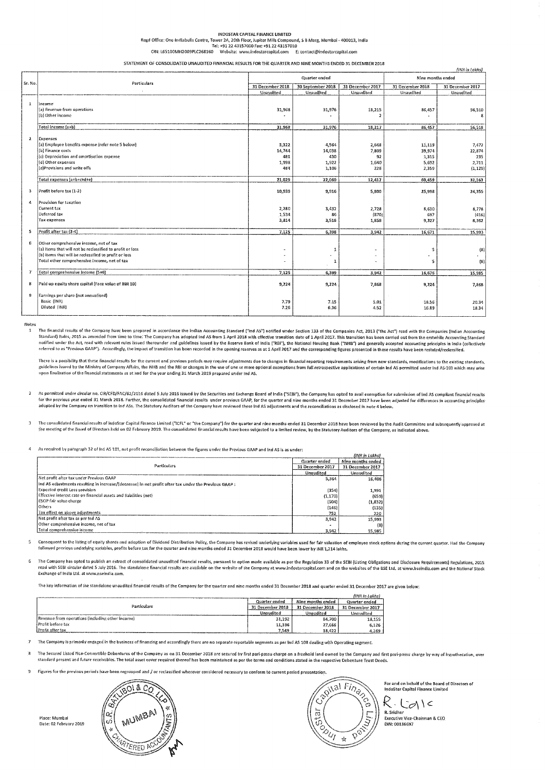# lNDOSTAR CAWTAL FINANCE LIMITED Reed Office: One Indiabulls Centre, Tower 2A, 20m Floor, Jupiter Mills Compound, 5 <sup>B</sup> Marg, Mumbai » 400013, India Tel: +91 22 43157000 Fax: +51 22 43157010 CIN: L65100Mii2005l'LC268160 Website: www.indostarcapital.com E: contact@indostarcapital.com

#### STATEMENl 0F- CONSOLIDATED UNAUDITED FINANCIAL RESULTS FOR THE QUARTER AND NINE MONTHS ENDED 31 DECEMBER 2018

|                |                                                           |                  |                   |                  |                   | (INR in Lokhs)   |  |
|----------------|-----------------------------------------------------------|------------------|-------------------|------------------|-------------------|------------------|--|
|                | Quarter ended<br>Particulars.                             |                  |                   |                  | Nine months ended |                  |  |
| Sr. No.        |                                                           | 31 December 2018 | 30 September 2018 | 31 December 2017 | 31 December 2018  | 31 December 2017 |  |
|                |                                                           | Unaudited        | Unaudited         | Unaudited        | Unaudited         | Unaudited        |  |
| $\mathbf{1}$   | Income                                                    |                  |                   |                  |                   |                  |  |
|                | (a) Revenue from operations                               | 31,968           | 31,976            | 18,215           | 86,457            | 56,510           |  |
|                | (b) Other income                                          |                  |                   |                  |                   | 8                |  |
|                |                                                           |                  |                   |                  |                   |                  |  |
|                | Total income (a+b)                                        | 31,968           | 31,976            | 18,217           | 86,457            | 56,518           |  |
| $\overline{z}$ | Expenses                                                  |                  |                   |                  |                   |                  |  |
|                | (a) Employee benefits expense (refer note 5 below)        | 3,322            | 4,564             | 2,648            | 11,119            | 7,472            |  |
|                | (b) Finance costs                                         | 14,744           | 14,038            | 7,809            | 39,974            | 22,874           |  |
|                | (c) Depreciation and amortisation expense                 | 481              | 430               | 92               | 1,315             | $-235$           |  |
|                | (d) Other expenses                                        | 1,998            | 1,922             | 1,640            | 5,692             | 2.711            |  |
|                | (e)Provisions and write offs                              | 484              | 1,106             | 228              | 2,359             | (1, 129)         |  |
|                | Total expenses (a+b+c+d+e)                                | 21,029           | 22,060            | 12,417           | 60,459            | 32,163           |  |
| з.             | Profit before tax (1-2)                                   | 10,939           | 9,916             | 5,800            | 25,998            | 24,355           |  |
| $\mathfrak{a}$ | Provision for taxation                                    |                  |                   |                  |                   |                  |  |
|                | Current tax                                               | 2,280            | 3,432             | 2,728            | 8,630             | 8,778            |  |
|                | Deferred tax                                              | 1,534            | 86                | (870)            | 697               | (416)            |  |
|                | Tax expenses                                              | 3,814            | 3,518             | 1,858            | 9,327             | 8,362            |  |
| 5              | Profit after tax (3-4)                                    | 7,125            | 6,398             | 3,942            | 16,671            | 15,993           |  |
| 6              | Other comprehensive income, net of tax                    |                  |                   |                  |                   |                  |  |
|                | (a) Items that will not be reclassified to profit or loss |                  | 1                 |                  | -5                | (8)              |  |
|                | (b) items that will be reclassified to profit or loss     | ×                | $\sim$            |                  |                   |                  |  |
|                | Total other comprehensive income, net of tax              | ٠                | 1                 |                  | 5                 | (8)              |  |
| 7              | Total comprehensive income (5+6)                          | 7,125            | 6,399             | 3.942            | 16,676            | 15,985           |  |
|                |                                                           |                  |                   |                  |                   |                  |  |
| 8              | Paid up equity share capital (Face value of INR 10)       | 9,224            | 9,224             | 7,868            | 9,224             | 7,868            |  |
| -ġ             | Earnings per share (not annualised)                       |                  |                   |                  |                   |                  |  |
|                | Basic (INR)                                               | 7.79             | 7.15              | 5.01             | 18.56             | 20.34            |  |
|                | Diluted (INR)                                             | 7.26             | 6,36              | 4.52             | 16.89             | 18.34            |  |
|                |                                                           |                  |                   |                  |                   |                  |  |

Notes

The financial results of the Company have been prepared in accordance the Indian Accounting Standard ("ind AS") notified under Section 133 of the Companies Act, 2013 ("the Act") read with the Companies (indian Accounting<br>S notified under the Act, read with relevant rules issued thereunder and guidelines issued by the Reserve Bank of India ("RBI"), the National Housing Bank ("NHB") and generally accepted accounting principles in India (collec

There is a possibility that these financial results for the current and previous periods may require adjustments due to changes in financial reporting requirements arising from new standards, modifications to the existing upon finalisation of the financial statements as at and for the year ending 31 March <sup>2019</sup> prepared under Ind AS.

As permitted under circular no. CIR/CFD/FAC/62/2016 dated 5 July 2016 issued by the Securities and Exchange Board of India ("SEBI"), the Company has opted to avail exemption for submission of Ind AS compliant financial res

The consolidated financial results of indoStar Capital Finance Limited ("ICFL" or "the Company") for the quarter and nine months ended 31 December 2018 have been reviewed by the Audit Committee and subsequently approved at

As required by paragraph 32 of Ind AS 101, net profit reconciliation between the figures under the Previous GAAP and ind AS is as under:

|                                                                                                       |                  | (INR in Lakhs)    |
|-------------------------------------------------------------------------------------------------------|------------------|-------------------|
|                                                                                                       | Quarter ended    | Nine months ended |
| Particulars                                                                                           | 31 December 2017 | 31 December 2017  |
|                                                                                                       | Unaudited        | Unaudited         |
| Net profit after tax under Previous GAAP                                                              | 5.364            | 16,408            |
| Ind AS adjustments resulting in increase/(decrease) in net profit after tax under the Previous GAAP : |                  |                   |
| <b>Expected credit Loss provision</b>                                                                 | (354)            | 1,991             |
| Effective interest rate on financial assets and liabilities (net)                                     | (1, 170)         | (659)             |
| ESOP fair value charge                                                                                | (504)            | (1, 832)          |
| Others                                                                                                | (146)            | (135)             |
| Tax effect on above adjustments.                                                                      | 752              | 220               |
| Net profit after tax as per Ind AS                                                                    | 3.942            | 15,993            |
| Other comprehensive income, net of tax                                                                |                  | $(8)$             |
| Total comprehensive income                                                                            | 3.942            | 15,985            |

Consequent to the listing of equity shares and adoption of Dividend Distribution Policy, the Company has revised underlying variables used for fair valuation of employee stock options during the current quarter. Had the Co followed previous underlying variables, profits before tax for the quarter and nine months ended 31 December 2018 would have been lower by INR 1,214 lakhs

The Company has opted to publish an extract of consolidated unaudited financial results, pursuant to option made available as per the Regulation 33 of the SEBI (Listing Obligations and Disclosure Requirements) Regulations, Exchange of India Ltd, at www.nseindia.com

The key information of the standalone unaudited financial results of the Company for the quarter and nine months ended <sup>31</sup> December <sup>2018</sup> and quarter ended 31 December <sup>2017</sup> are given below:

|                                                  |                  |                   | (INR in Lakhs)   |
|--------------------------------------------------|------------------|-------------------|------------------|
| Particulars:                                     | Quarter ended    | Nine months ended | Quarter ended    |
|                                                  | 31 December 2018 | 31 December 2018  | 31 December 2017 |
|                                                  | Unaudited        | Unaudited         | Unaudited        |
| Revenue from onerations (including other income) | 31.192           | 84.700            | 18.155           |
| Profit before tax                                | 11,336           | 27.666            | 6.126            |
| Profit after tax                                 | 7.549            | 18.422            | 4,269            |

<sup>7</sup> The Company is primarily engaged in the business of financing and accordingly there are no separate reportable segments as per Ind AS <sup>108</sup> dealing with Operating segment.

8 The Secured Listed Non-Convertible Debentures of the Company as on 31 December 2018 are secured by first pari-passu charge on a freehold land owned by the Company and first pari-passu charge by way of hypothecation, over standard present and future receivables The total asset cover required thereof has been maintained as per the terms and conditions stated in the respective Dobenturc Trust Deeds.

5) Figures for the previous periods have been reflrouped and / or reclassified wherever considered necessary to conform to current period presentation.

I'Iace: Mumboi Date: 02 February 2019





For and on behalf of the Board of Directors of IndoStar Capital Finance Limited

 $K\cdot\bigcup_{\mathsf{R}.\mathsf{Sridhar}}\bigwedge\mathsf{C}$ 

Executive Vice-Chairman & CEO DIN: 00136697